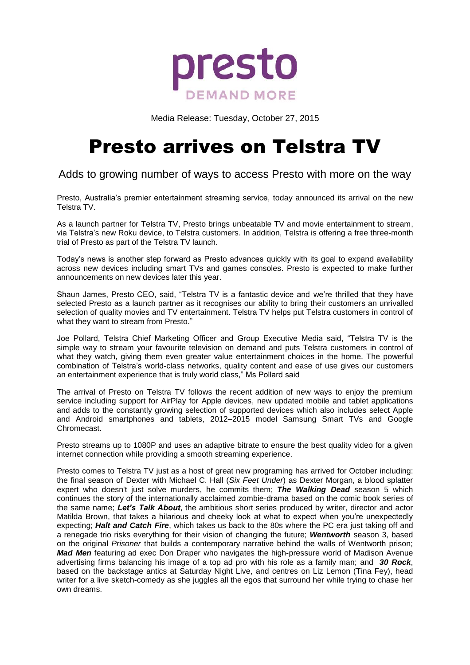

Media Release: Tuesday, October 27, 2015

# Presto arrives on Telstra TV

Adds to growing number of ways to access Presto with more on the way

Presto, Australia's premier entertainment streaming service, today announced its arrival on the new Telstra TV.

As a launch partner for Telstra TV, Presto brings unbeatable TV and movie entertainment to stream, via Telstra's new Roku device, to Telstra customers. In addition, Telstra is offering a free three-month trial of Presto as part of the Telstra TV launch.

Today's news is another step forward as Presto advances quickly with its goal to expand availability across new devices including smart TVs and games consoles. Presto is expected to make further announcements on new devices later this year.

Shaun James, Presto CEO, said, "Telstra TV is a fantastic device and we're thrilled that they have selected Presto as a launch partner as it recognises our ability to bring their customers an unrivalled selection of quality movies and TV entertainment. Telstra TV helps put Telstra customers in control of what they want to stream from Presto."

Joe Pollard, Telstra Chief Marketing Officer and Group Executive Media said, "Telstra TV is the simple way to stream your favourite television on demand and puts Telstra customers in control of what they watch, giving them even greater value entertainment choices in the home. The powerful combination of Telstra's world-class networks, quality content and ease of use gives our customers an entertainment experience that is truly world class," Ms Pollard said

The arrival of Presto on Telstra TV follows the recent addition of new ways to enjoy the premium service including support for AirPlay for Apple devices, new updated mobile and tablet applications and adds to the constantly growing selection of supported devices which also includes select Apple and Android smartphones and tablets, 2012–2015 model Samsung Smart TVs and Google Chromecast.

Presto streams up to 1080P and uses an adaptive bitrate to ensure the best quality video for a given internet connection while providing a smooth streaming experience.

Presto comes to Telstra TV just as a host of great new programing has arrived for October including: the final season of Dexter with Michael C. Hall (*Six Feet Under*) as Dexter Morgan, a blood splatter expert who doesn't just solve murders, he commits them; *The Walking Dead* season 5 which continues the story of the internationally acclaimed zombie-drama based on the comic book series of the same name; *Let's Talk About*, the ambitious short series produced by writer, director and actor Matilda Brown, that takes a hilarious and cheeky look at what to expect when you're unexpectedly expecting; *Halt and Catch Fire*, which takes us back to the 80s where the PC era just taking off and a renegade trio risks everything for their vision of changing the future; *Wentworth* season 3, based on the original *Prisoner* that builds a contemporary narrative behind the walls of Wentworth prison; *Mad Men* featuring ad exec Don Draper who navigates the high-pressure world of Madison Avenue advertising firms balancing his image of a top ad pro with his role as a family man; and *30 Rock*, based on the backstage antics at Saturday Night Live, and centres on Liz Lemon (Tina Fey), head writer for a live sketch-comedy as she juggles all the egos that surround her while trying to chase her own dreams.